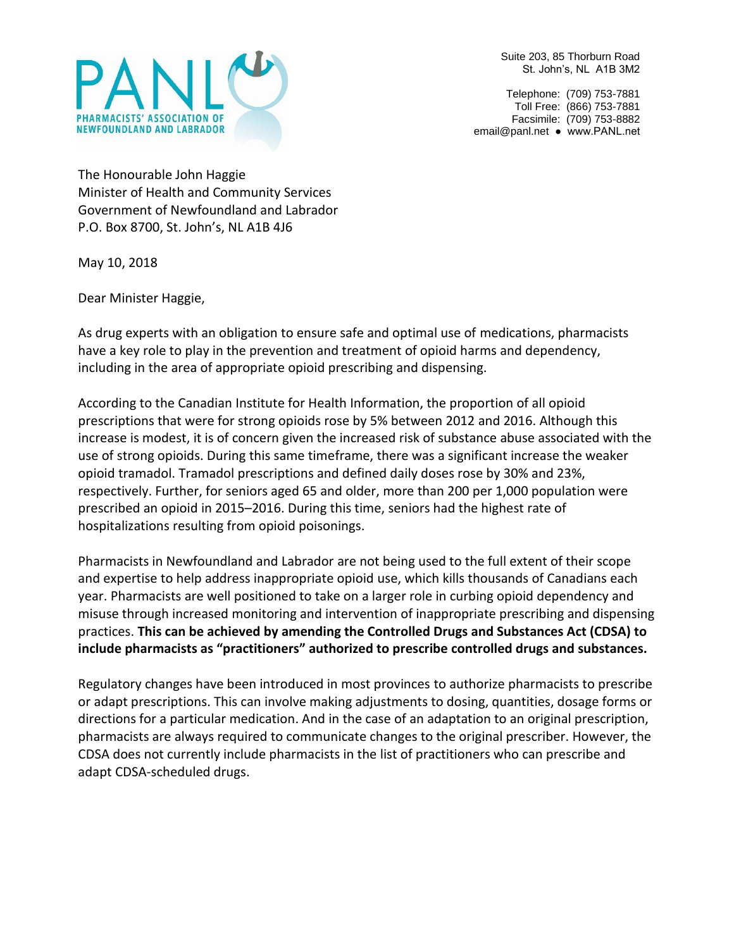

Suite 203, 85 Thorburn Road St. John's, NL A1B 3M2

Telephone: (709) 753-7881 Toll Free: (866) 753-7881 Facsimile: (709) 753-8882 [email@panl.net](mailto:email@panl.net) ● www.PANL.net

The Honourable John Haggie Minister of Health and Community Services Government of Newfoundland and Labrador P.O. Box 8700, St. John's, NL A1B 4J6

May 10, 2018

Dear Minister Haggie,

As drug experts with an obligation to ensure safe and optimal use of medications, pharmacists have a key role to play in the prevention and treatment of opioid harms and dependency, including in the area of appropriate opioid prescribing and dispensing.

According to the Canadian Institute for Health Information, the proportion of all opioid prescriptions that were for strong opioids rose by 5% between 2012 and 2016. Although this increase is modest, it is of concern given the increased risk of substance abuse associated with the use of strong opioids. During this same timeframe, there was a significant increase the weaker opioid tramadol. Tramadol prescriptions and defined daily doses rose by 30% and 23%, respectively. Further, for seniors aged 65 and older, more than 200 per 1,000 population were prescribed an opioid in 2015–2016. During this time, seniors had the highest rate of hospitalizations resulting from opioid poisonings.

Pharmacists in Newfoundland and Labrador are not being used to the full extent of their scope and expertise to help address inappropriate opioid use, which kills thousands of Canadians each year. Pharmacists are well positioned to take on a larger role in curbing opioid dependency and misuse through increased monitoring and intervention of inappropriate prescribing and dispensing practices. **This can be achieved by amending the Controlled Drugs and Substances Act (CDSA) to include pharmacists as "practitioners" authorized to prescribe controlled drugs and substances.**

Regulatory changes have been introduced in most provinces to authorize pharmacists to prescribe or adapt prescriptions. This can involve making adjustments to dosing, quantities, dosage forms or directions for a particular medication. And in the case of an adaptation to an original prescription, pharmacists are always required to communicate changes to the original prescriber. However, the CDSA does not currently include pharmacists in the list of practitioners who can prescribe and adapt CDSA-scheduled drugs.